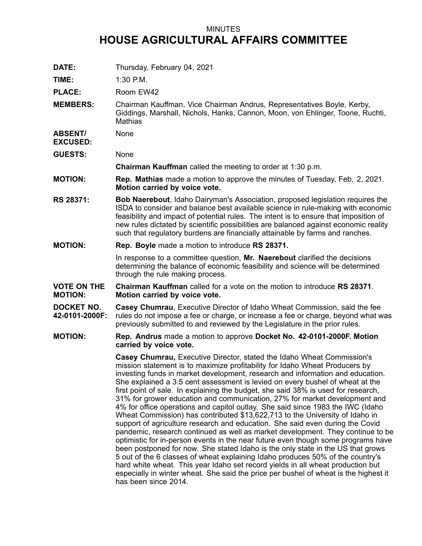## MINUTES **HOUSE AGRICULTURAL AFFAIRS COMMITTEE**

**DATE:** Thursday, February 04, 2021

**TIME:** 1:30 P.M.

PLACE: Room EW42

**MEMBERS:** Chairman Kauffman, Vice Chairman Andrus, Representatives Boyle, Kerby, Giddings, Marshall, Nichols, Hanks, Cannon, Moon, von Ehlinger, Toone, Ruchti, **Mathias** 

**ABSENT/** None

**EXCUSED:**

**GUESTS:** None

**Chairman Kauffman** called the meeting to order at 1:30 p.m.

- **MOTION: Rep. Mathias** made <sup>a</sup> motion to approve the minutes of Tuesday, Feb. 2, 2021. **Motion carried by voice vote.**
- **RS 28371: Bob Naerebout**, Idaho Dairyman's Association, proposed legislation requires the ISDA to consider and balance best available science in rule-making with economic feasibility and impact of potential rules. The intent is to ensure that imposition of new rules dictated by scientific possibilities are balanced against economic reality such that regulatory burdens are financially attainable by farms and ranches.
- **MOTION: Rep. Boyle** made <sup>a</sup> motion to introduce **RS 28371.**

In response to <sup>a</sup> committee question, **Mr. Naerebout** clarified the decisions determining the balance of economic feasibility and science will be determined through the rule making process.

- **VOTE ON THE MOTION: Chairman Kauffman** called for a vote on the motion to introduce **RS 28371**. **Motion carried by voice vote.**
- **DOCKET NO. 42-0101-2000F: Casey Chumrau**, Executive Director of Idaho Wheat Commission, said the fee rules do not impose <sup>a</sup> fee or charge, or increase <sup>a</sup> fee or charge, beyond what was previously submitted to and reviewed by the Legislature in the prior rules.
- **MOTION: Rep. Andrus** made <sup>a</sup> motion to approve **Docket No. 42-0101-2000F. Motion carried by voice vote.**

**Casey Chumrau,** Executive Director, stated the Idaho Wheat Commission's mission statement is to maximize profitability for Idaho Wheat Producers by investing funds in market development, research and information and education. She explained <sup>a</sup> 3.5 cent assessment is levied on every bushel of wheat at the first point of sale. In explaining the budget, she said 38% is used for research, 31% for grower education and communication, 27% for market development and 4% for office operations and capitol outlay. She said since 1983 the IWC (Idaho Wheat Commission) has contributed \$13,622,713 to the University of Idaho in support of agriculture research and education. She said even during the Covid pandemic, research continued as well as market development. They continue to be optimistic for in-person events in the near future even though some programs have been postponed for now. She stated Idaho is the only state in the US that grows 5 out of the 6 classes of wheat explaining Idaho produces 50% of the country's hard white wheat. This year Idaho set record yields in all wheat production but especially in winter wheat. She said the price per bushel of wheat is the highest it has been since 2014.